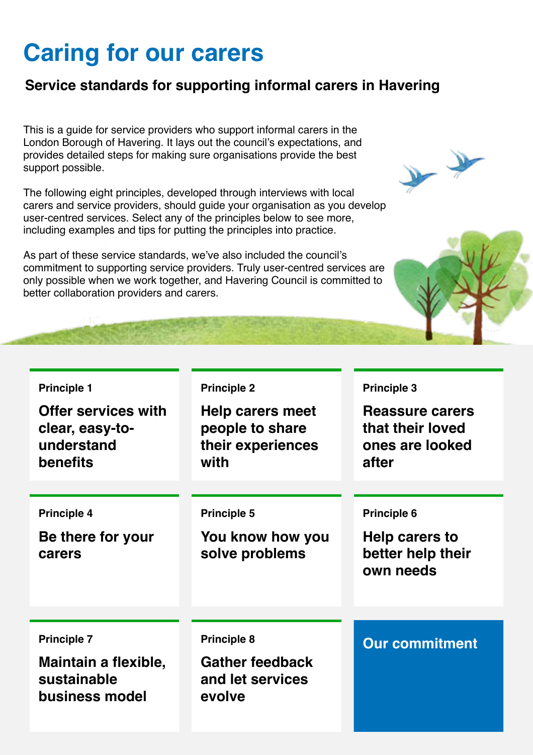# **Caring for our carers**

#### **Service standards for supporting informal carers in Havering**

This is a guide for service providers who support informal carers in the London Borough of Havering. It lays out the council's expectations, and provides detailed steps for making sure organisations provide the best support possible.

The following eight principles, developed through interviews with local carers and service providers, should guide your organisation as you develop user-centred services. Select any of the principles below to see more, including examples and tips for putting the principles into practice.

As part of these service standards, we've also included the council's commitment to supporting service providers. Truly user-centred services are only possible when we work together, and Havering Council is committed to better collaboration providers and carers.

#### **Principle 1**

**Offer services with clear, easy-tounderstand benefits**

#### **Principle 4**

**Be there for your carers**

#### **Principle 2**

**Help carers meet people to share their experiences with**

#### **Principle 5**

**You know how you solve problems**

#### **Principle 3**

**Reassure carers that their loved ones are looked after**

#### **Principle 6**

**Help carers to better help their own needs**

#### **Principle 7**

**Maintain a flexible, sustainable business model**

**Gather feedback and let services evolve**

**Principle 8 Our commitment**



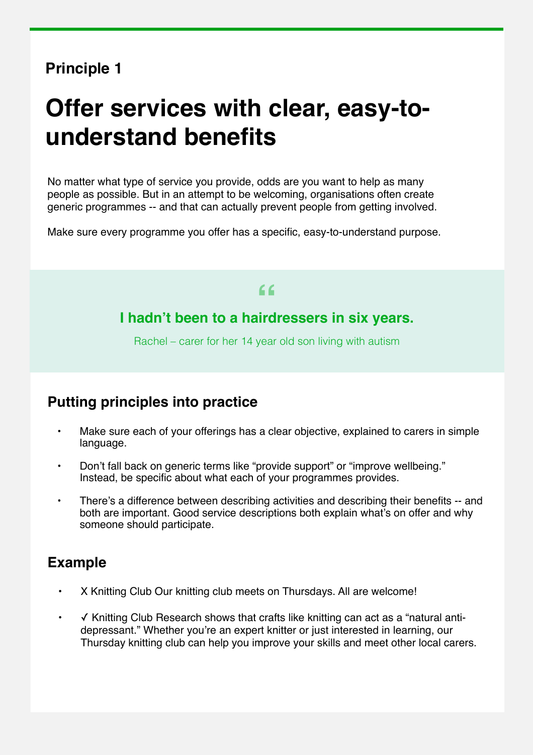# **Offer services with clear, easy-tounderstand benefits**

No matter what type of service you provide, odds are you want to help as many people as possible. But in an attempt to be welcoming, organisations often create generic programmes -- and that can actually prevent people from getting involved.

Make sure every programme you offer has a specific, easy-to-understand purpose.

# **I hadn't been to a hairdressers in six years. "**

Rachel – carer for her 14 year old son living with autism

#### **Putting principles into practice**

- Make sure each of your offerings has a clear objective, explained to carers in simple language.
- Don't fall back on generic terms like "provide support" or "improve wellbeing." Instead, be specific about what each of your programmes provides.
- There's a difference between describing activities and describing their benefits -- and both are important. Good service descriptions both explain what's on offer and why someone should participate.

- X Knitting Club Our knitting club meets on Thursdays. All are welcome!
- ✓ Knitting Club Research shows that crafts like knitting can act as a "natural antidepressant." Whether you're an expert knitter or just interested in learning, our Thursday knitting club can help you improve your skills and meet other local carers.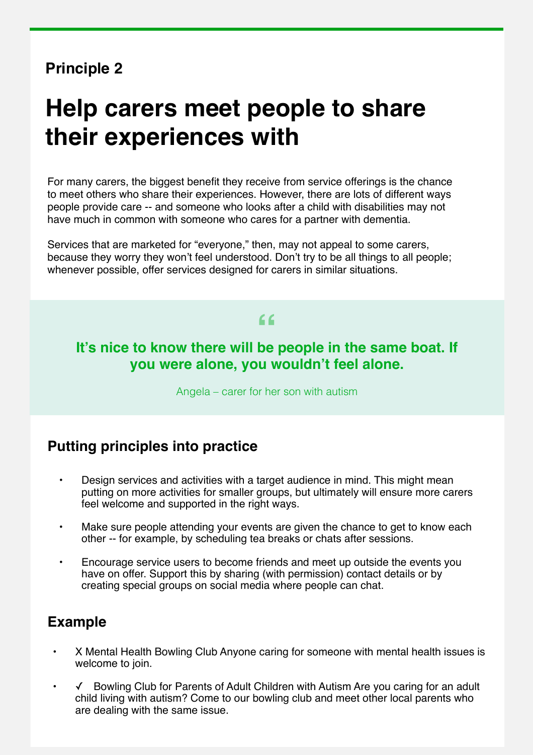# **Help carers meet people to share their experiences with**

For many carers, the biggest benefit they receive from service offerings is the chance to meet others who share their experiences. However, there are lots of different ways people provide care -- and someone who looks after a child with disabilities may not have much in common with someone who cares for a partner with dementia.

Services that are marketed for "everyone," then, may not appeal to some carers, because they worry they won't feel understood. Don't try to be all things to all people; whenever possible, offer services designed for carers in similar situations.

# **It's nice to know there will be people in the same boat. If " you were alone, you wouldn't feel alone.**

Angela – carer for her son with autism

#### **Putting principles into practice**

- Design services and activities with a target audience in mind. This might mean putting on more activities for smaller groups, but ultimately will ensure more carers feel welcome and supported in the right ways.
- Make sure people attending your events are given the chance to get to know each other -- for example, by scheduling tea breaks or chats after sessions.
- Encourage service users to become friends and meet up outside the events you have on offer. Support this by sharing (with permission) contact details or by creating special groups on social media where people can chat.

- X Mental Health Bowling Club Anyone caring for someone with mental health issues is welcome to join.
- ✓ Bowling Club for Parents of Adult Children with Autism Are you caring for an adult child living with autism? Come to our bowling club and meet other local parents who are dealing with the same issue.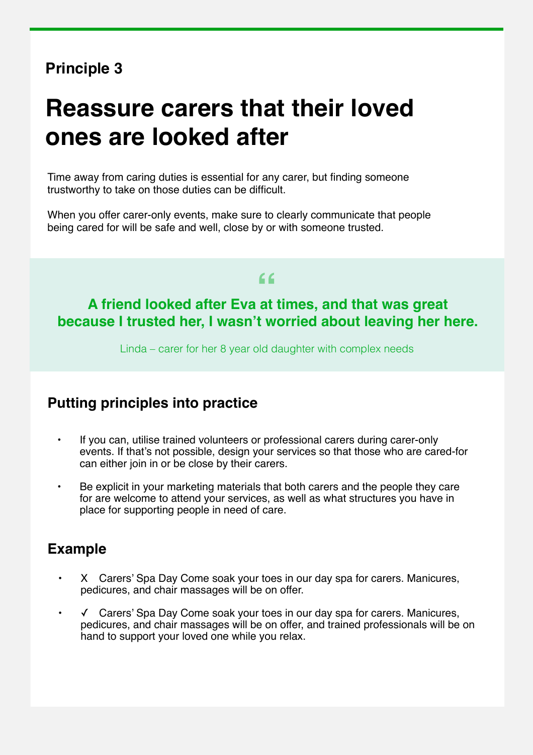# **Reassure carers that their loved ones are looked after**

Time away from caring duties is essential for any carer, but finding someone trustworthy to take on those duties can be difficult.

When you offer carer-only events, make sure to clearly communicate that people being cared for will be safe and well, close by or with someone trusted.

# **" A friend looked after Eva at times, and that was great because I trusted her, I wasn't worried about leaving her here.**

Linda – carer for her 8 year old daughter with complex needs

#### **Putting principles into practice**

- If you can, utilise trained volunteers or professional carers during carer-only events. If that's not possible, design your services so that those who are cared-for can either join in or be close by their carers.
- Be explicit in your marketing materials that both carers and the people they care for are welcome to attend your services, as well as what structures you have in place for supporting people in need of care.

- X Carers' Spa Day Come soak your toes in our day spa for carers. Manicures, pedicures, and chair massages will be on offer.
- ✓ Carers' Spa Day Come soak your toes in our day spa for carers. Manicures, pedicures, and chair massages will be on offer, and trained professionals will be on hand to support your loved one while you relax.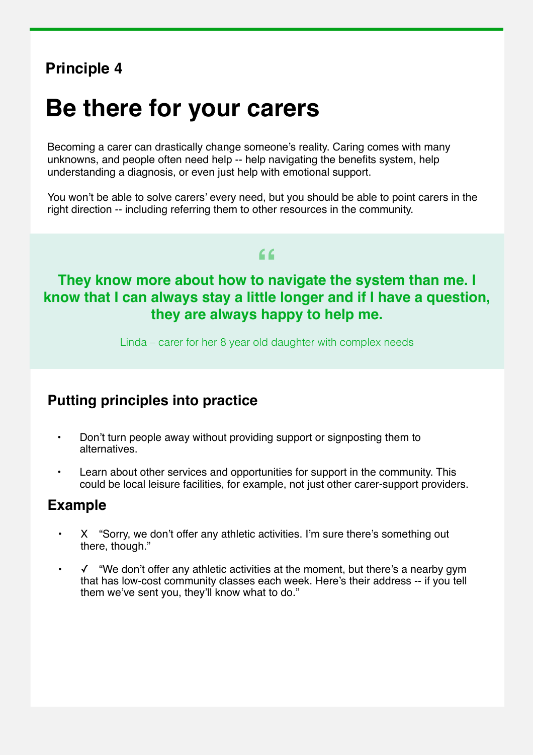# **Be there for your carers**

Becoming a carer can drastically change someone's reality. Caring comes with many unknowns, and people often need help -- help navigating the benefits system, help understanding a diagnosis, or even just help with emotional support.

You won't be able to solve carers' every need, but you should be able to point carers in the right direction -- including referring them to other resources in the community.

## **" They know more about how to navigate the system than me. I know that I can always stay a little longer and if I have a question, they are always happy to help me.**

Linda – carer for her 8 year old daughter with complex needs

#### **Putting principles into practice**

- Don't turn people away without providing support or signposting them to alternatives.
- Learn about other services and opportunities for support in the community. This could be local leisure facilities, for example, not just other carer-support providers.

- X "Sorry, we don't offer any athletic activities. I'm sure there's something out there, though."
- ✓ "We don't offer any athletic activities at the moment, but there's a nearby gym that has low-cost community classes each week. Here's their address -- if you tell them we've sent you, they'll know what to do."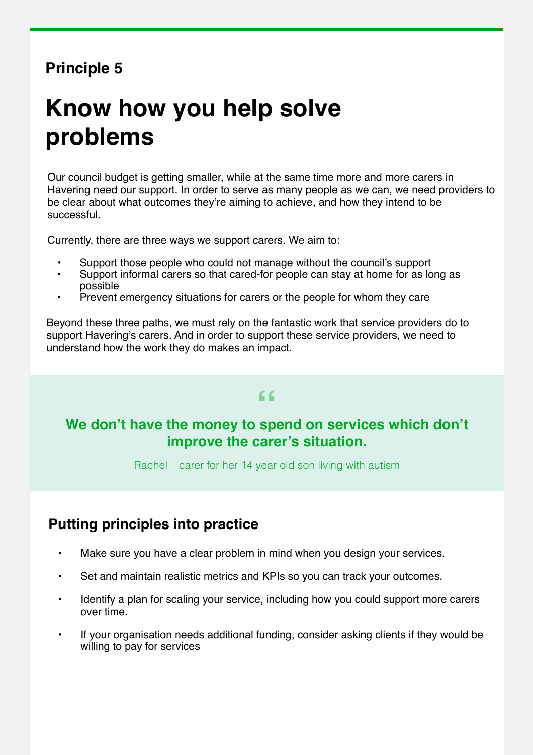# **Know how you help solve problems**

Our council budget is getting smaller, while at the same time more and more carers in Havering need our support. In order to serve as many people as we can, we need providers to be clear about what outcomes they're aiming to achieve, and how they intend to be successful.

Currently, there are three ways we support carers. We aim to:

- Support those people who could not manage without the council's support
- Support informal carers so that cared-for people can stay at home for as long as possible
- Prevent emergency situations for carers or the people for whom they care

Beyond these three paths, we must rely on the fantastic work that service providers do to support Havering's carers. And in order to support these service providers, we need to understand how the work they do makes an impact.

# **" We don't have the money to spend on services which don't improve the carer's situation.**

Rachel – carer for her 14 year old son living with autism

#### **Putting principles into practice**

- Make sure you have a clear problem in mind when you design your services.
- Set and maintain realistic metrics and KPIs so you can track your outcomes.
- Identify a plan for scaling your service, including how you could support more carers over time.
- If your organisation needs additional funding, consider asking clients if they would be willing to pay for services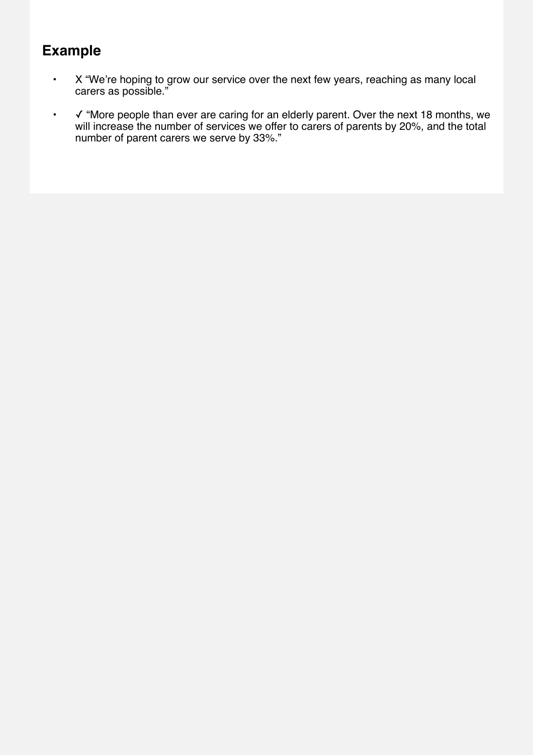- X "We're hoping to grow our service over the next few years, reaching as many local carers as possible."
- √ "More people than ever are caring for an elderly parent. Over the next 18 months, we will increase the number of services we offer to carers of parents by 20%, and the total number of parent carers we serve by 33%."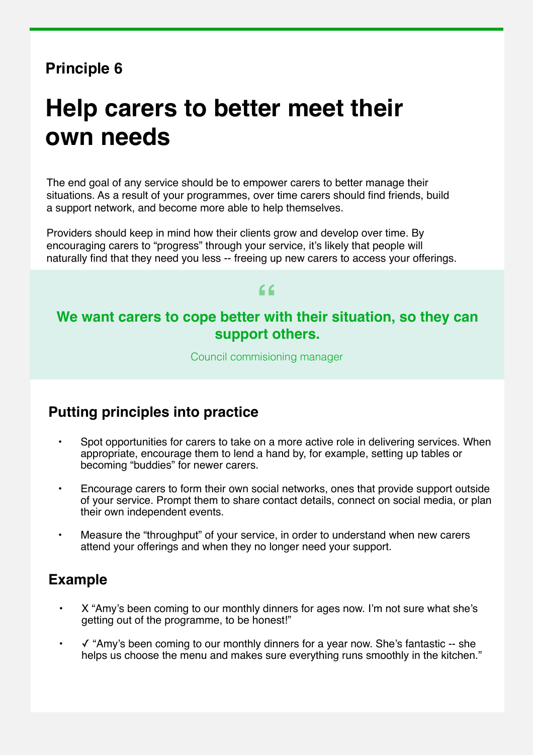# **Help carers to better meet their own needs**

The end goal of any service should be to empower carers to better manage their situations. As a result of your programmes, over time carers should find friends, build a support network, and become more able to help themselves.

Providers should keep in mind how their clients grow and develop over time. By encouraging carers to "progress" through your service, it's likely that people will naturally find that they need you less -- freeing up new carers to access your offerings.

# **" We want carers to cope better with their situation, so they can support others.**

Council commisioning manager

#### **Putting principles into practice**

- Spot opportunities for carers to take on a more active role in delivering services. When appropriate, encourage them to lend a hand by, for example, setting up tables or becoming "buddies" for newer carers.
- Encourage carers to form their own social networks, ones that provide support outside of your service. Prompt them to share contact details, connect on social media, or plan their own independent events.
- Measure the "throughput" of your service, in order to understand when new carers attend your offerings and when they no longer need your support.

- X "Amy's been coming to our monthly dinners for ages now. I'm not sure what she's getting out of the programme, to be honest!"
- ✓ "Amy's been coming to our monthly dinners for a year now. She's fantastic -- she helps us choose the menu and makes sure everything runs smoothly in the kitchen."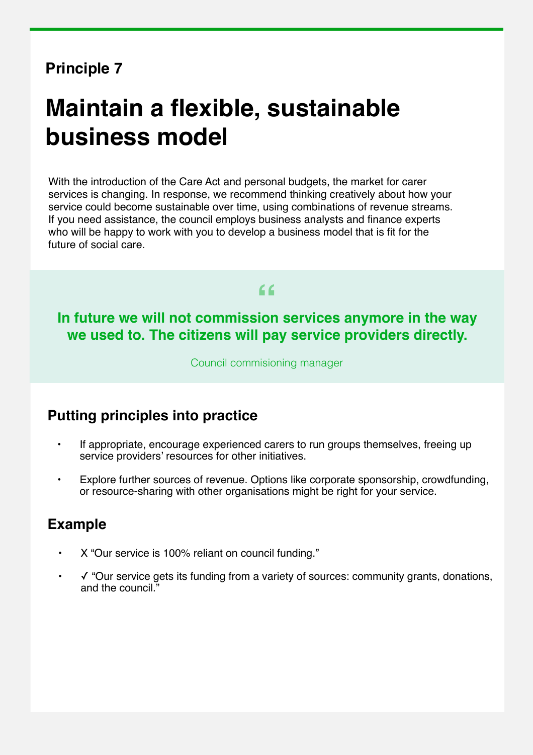# **Maintain a flexible, sustainable business model**

With the introduction of the Care Act and personal budgets, the market for carer services is changing. In response, we recommend thinking creatively about how your service could become sustainable over time, using combinations of revenue streams. If you need assistance, the council employs business analysts and finance experts who will be happy to work with you to develop a business model that is fit for the future of social care.

**" In future we will not commission services anymore in the way we used to. The citizens will pay service providers directly.**

Council commisioning manager

#### **Putting principles into practice**

- If appropriate, encourage experienced carers to run groups themselves, freeing up service providers' resources for other initiatives.
- Explore further sources of revenue. Options like corporate sponsorship, crowdfunding, or resource-sharing with other organisations might be right for your service.

- X "Our service is 100% reliant on council funding."
- ✓ "Our service gets its funding from a variety of sources: community grants, donations, and the council."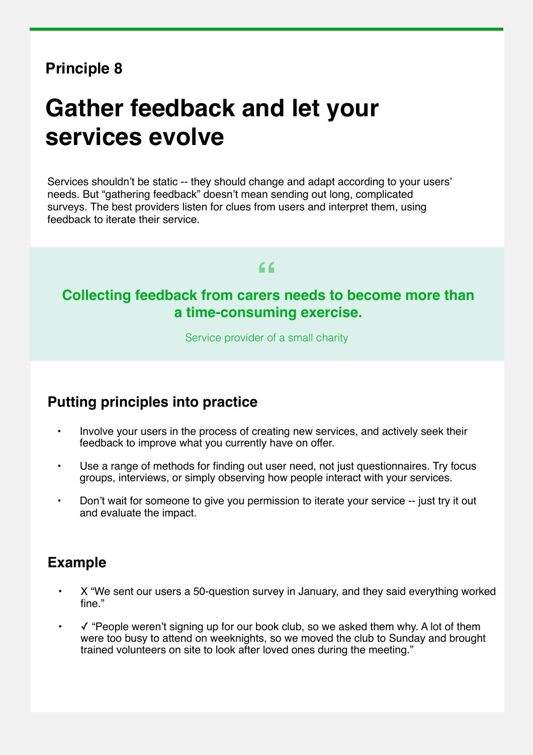# **Gather feedback and let your services evolve**

Services shouldn't be static -- they should change and adapt according to your users' needs. But "gathering feedback" doesn't mean sending out long, complicated surveys. The best providers listen for clues from users and interpret them, using feedback to iterate their service.

# **" Collecting feedback from carers needs to become more than a time-consuming exercise.**

Service provider of a small charity

#### **Putting principles into practice**

- Involve your users in the process of creating new services, and actively seek their feedback to improve what you currently have on offer.
- Use a range of methods for finding out user need, not just questionnaires. Try focus groups, interviews, or simply observing how people interact with your services.
- Don't wait for someone to give you permission to iterate your service -- just try it out and evaluate the impact.

- X "We sent our users a 50-question survey in January, and they said everything worked fine."
- ✓ "People weren't signing up for our book club, so we asked them why. A lot of them were too busy to attend on weeknights, so we moved the club to Sunday and brought trained volunteers on site to look after loved ones during the meeting."